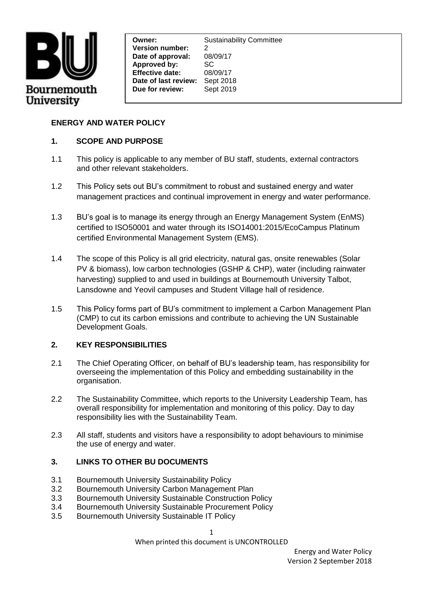

**Effective date:** 08/09/17<br>**Date of last review:** Sept 2018 **Owner:** Sustainability Committee **Version number:** 2 **Date of approval:** 08/09/17 **Approved by:** SC **Effective date:** 08/09/17 **Due for review:** Sept 2019

#### **ENERGY AND WATER POLICY**

#### **1. SCOPE AND PURPOSE**

- 1.1 This policy is applicable to any member of BU staff, students, external contractors and other relevant stakeholders.
- 1.2 This Policy sets out BU's commitment to robust and sustained energy and water management practices and continual improvement in energy and water performance.
- 1.3 BU's goal is to manage its energy through an Energy Management System (EnMS) certified to ISO50001 and water through its ISO14001:2015/EcoCampus Platinum certified Environmental Management System (EMS).
- 1.4 The scope of this Policy is all grid electricity, natural gas, onsite renewables (Solar PV & biomass), low carbon technologies (GSHP & CHP), water (including rainwater harvesting) supplied to and used in buildings at Bournemouth University Talbot, Lansdowne and Yeovil campuses and Student Village hall of residence.
- 1.5 This Policy forms part of BU's commitment to implement a Carbon Management Plan (CMP) to cut its carbon emissions and contribute to achieving the UN Sustainable Development Goals.

#### **2. KEY RESPONSIBILITIES**

- 2.1 The Chief Operating Officer, on behalf of BU's leadership team, has responsibility for overseeing the implementation of this Policy and embedding sustainability in the organisation.
- 2.2 The Sustainability Committee, which reports to the University Leadership Team, has overall responsibility for implementation and monitoring of this policy. Day to day responsibility lies with the Sustainability Team.
- 2.3 All staff, students and visitors have a responsibility to adopt behaviours to minimise the use of energy and water.

#### **3. LINKS TO OTHER BU DOCUMENTS**

- 3.1 Bournemouth University Sustainability Policy
- 3.2 Bournemouth University Carbon Management Plan
- 3.3 Bournemouth University Sustainable Construction Policy
- 3.4 Bournemouth University Sustainable Procurement Policy
- 3.5 Bournemouth University Sustainable IT Policy

When printed this document is UNCONTROLLED

Energy and Water Policy Version 2 September 2018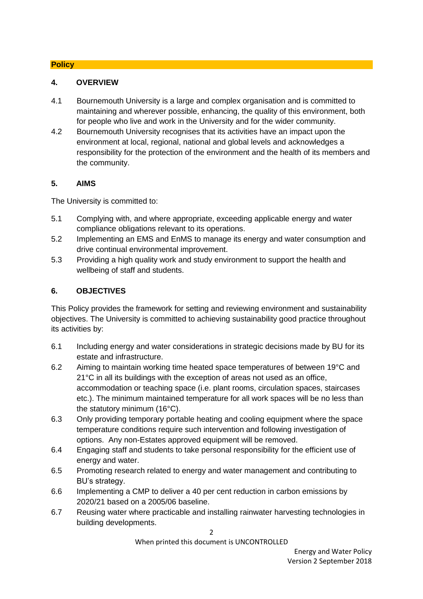#### **Policy**

#### **4. OVERVIEW**

- 4.1 Bournemouth University is a large and complex organisation and is committed to maintaining and wherever possible, enhancing, the quality of this environment, both for people who live and work in the University and for the wider community.
- 4.2 Bournemouth University recognises that its activities have an impact upon the environment at local, regional, national and global levels and acknowledges a responsibility for the protection of the environment and the health of its members and the community.

# **5. AIMS**

The University is committed to:

- 5.1 Complying with, and where appropriate, exceeding applicable energy and water compliance obligations relevant to its operations.
- 5.2 Implementing an EMS and EnMS to manage its energy and water consumption and drive continual environmental improvement.
- 5.3 Providing a high quality work and study environment to support the health and wellbeing of staff and students.

# **6. OBJECTIVES**

This Policy provides the framework for setting and reviewing environment and sustainability objectives. The University is committed to achieving sustainability good practice throughout its activities by:

- 6.1 Including energy and water considerations in strategic decisions made by BU for its estate and infrastructure.
- 6.2 Aiming to maintain working time heated space temperatures of between 19°C and 21°C in all its buildings with the exception of areas not used as an office, accommodation or teaching space (i.e. plant rooms, circulation spaces, staircases etc.). The minimum maintained temperature for all work spaces will be no less than the statutory minimum (16°C).
- 6.3 Only providing temporary portable heating and cooling equipment where the space temperature conditions require such intervention and following investigation of options. Any non-Estates approved equipment will be removed.
- 6.4 Engaging staff and students to take personal responsibility for the efficient use of energy and water.
- 6.5 Promoting research related to energy and water management and contributing to BU's strategy.
- 6.6 Implementing a CMP to deliver a 40 per cent reduction in carbon emissions by 2020/21 based on a 2005/06 baseline.
- 6.7 Reusing water where practicable and installing rainwater harvesting technologies in building developments.

2

When printed this document is UNCONTROLLED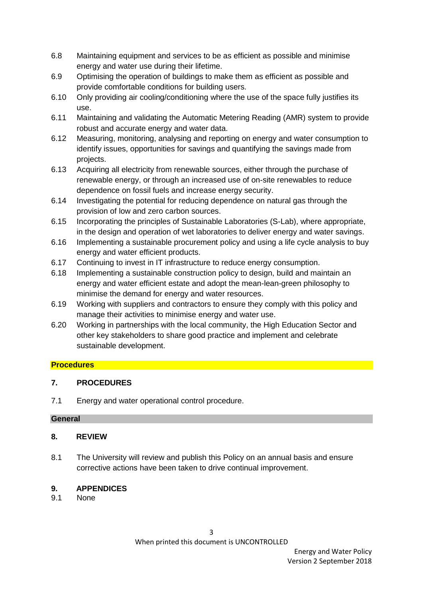- 6.8 Maintaining equipment and services to be as efficient as possible and minimise energy and water use during their lifetime.
- 6.9 Optimising the operation of buildings to make them as efficient as possible and provide comfortable conditions for building users.
- 6.10 Only providing air cooling/conditioning where the use of the space fully justifies its use.
- 6.11 Maintaining and validating the Automatic Metering Reading (AMR) system to provide robust and accurate energy and water data.
- 6.12 Measuring, monitoring, analysing and reporting on energy and water consumption to identify issues, opportunities for savings and quantifying the savings made from projects.
- 6.13 Acquiring all electricity from renewable sources, either through the purchase of renewable energy, or through an increased use of on-site renewables to reduce dependence on fossil fuels and increase energy security.
- 6.14 Investigating the potential for reducing dependence on natural gas through the provision of low and zero carbon sources.
- 6.15 Incorporating the principles of Sustainable Laboratories (S-Lab), where appropriate, in the design and operation of wet laboratories to deliver energy and water savings.
- 6.16 Implementing a sustainable procurement policy and using a life cycle analysis to buy energy and water efficient products.
- 6.17 Continuing to invest in IT infrastructure to reduce energy consumption.
- 6.18 Implementing a sustainable construction policy to design, build and maintain an energy and water efficient estate and adopt the mean-lean-green philosophy to minimise the demand for energy and water resources.
- 6.19 Working with suppliers and contractors to ensure they comply with this policy and manage their activities to minimise energy and water use.
- 6.20 Working in partnerships with the local community, the High Education Sector and other key stakeholders to share good practice and implement and celebrate sustainable development.

# **Procedures**

# **7. PROCEDURES**

7.1 Energy and water operational control procedure.

# **General**

# **8. REVIEW**

8.1 The University will review and publish this Policy on an annual basis and ensure corrective actions have been taken to drive continual improvement.

# **9. APPENDICES**

9.1 None